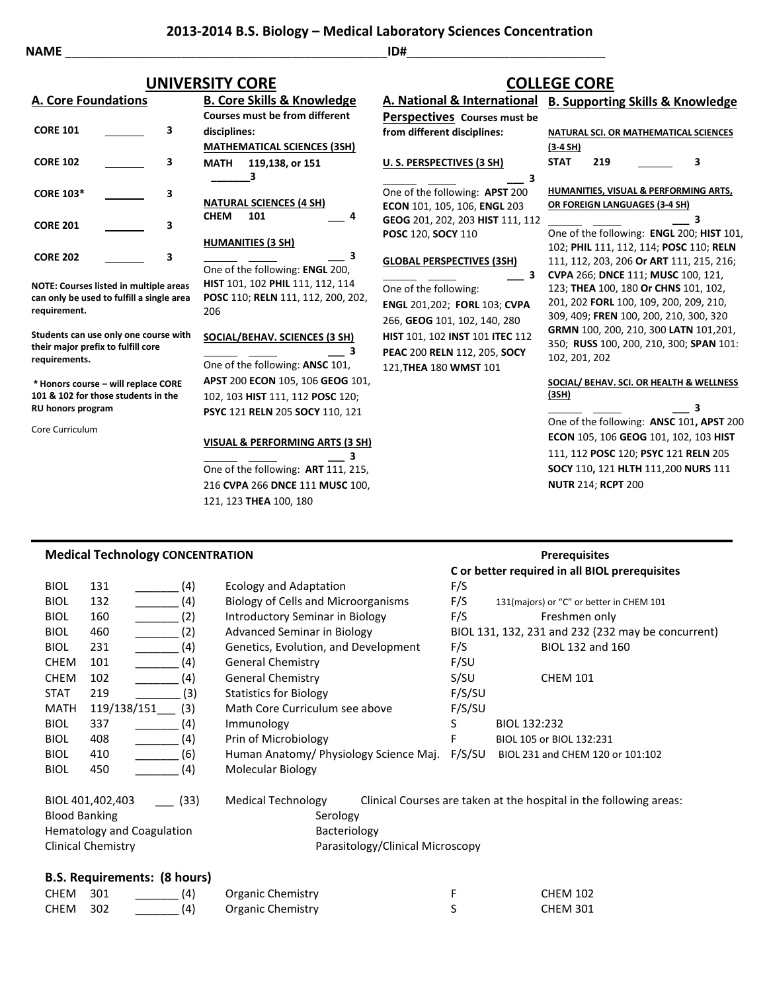**2013-2014 B.S. Biology – Medical Laboratory Sciences Concentration**

**NAME** \_\_\_\_\_\_\_\_\_\_\_\_\_\_\_\_\_\_\_\_\_\_\_\_\_\_\_\_\_\_\_\_\_\_\_\_\_\_\_\_\_\_\_\_\_\_\_**ID#**\_\_\_\_\_\_\_\_\_\_\_\_\_\_\_\_\_\_\_\_\_\_\_\_\_\_\_\_\_

## **UNIVERSITY CORE COLLEGE CORE**

|  | <b>A. Core Foundations</b> |  |
|--|----------------------------|--|
|  |                            |  |

|                  |   | Cou        |
|------------------|---|------------|
| <b>CORE 101</b>  | 3 | disc       |
|                  |   | МA         |
| <b>CORE 102</b>  | 3 | МA         |
|                  |   |            |
| <b>CORE 103*</b> | 3 | NA1        |
|                  |   | <b>CHE</b> |
| <b>CORE 201</b>  | 3 |            |
| <b>CORE 202</b>  | 3 | HUI        |
|                  |   | ∩nc        |

**NOTE: Courses listed in multiple areas can only be used to fulfill a single area requirement.**

**Students can use only one course with their major prefix to fulfill core requirements.**

**\* Honors course – will replace CORE 101 & 102 for those students in the RU honors program**

Core Curriculum

**B. Core Skills & Knowledge Courses must be from different disciplines: MATHEMATICAL SCIENCES (3SH) MATH 119,138, or 151 \_\_\_\_\_\_\_3 NATURAL SCIENCES (4 SH) CHEM 101** \_\_\_ **4 HUMANITIES (3 SH) \_\_\_ 3** One of the following: **ENGL** 200, **HIST** 101, 102 **PHIL** 111, 112, 114 **POSC** 110; **RELN** 111, 112, 200, 202, 206 **SOCIAL/BEHAV. SCIENCES (3 SH) \_\_\_ 3** One of the following: **ANSC** 101,

**APST** 200 **ECON** 105, 106 **GEOG** 101, 102, 103 **HIST** 111, 112 **POSC** 120; **PSYC** 121 **RELN** 205 **SOCY** 110, 121

### **VISUAL & PERFORMING ARTS (3 SH)**

 **\_\_\_ 3** One of the following: **ART** 111, 215, 216 **CVPA** 266 **DNCE** 111 **MUSC** 100, 121, 123 **THEA** 100, 180

### **Medical Technology CONCENTRATION Prerequisites**

| BIOL        | 131              | (4)  |
|-------------|------------------|------|
| BIOL        | 132              | (4)  |
| BIOL        | 160              | (2)  |
| <b>BIOL</b> | 460              | (2)  |
| BIOL        | 231              | (4)  |
| CHEM        | 101              | (4)  |
| CHEM        | 102              | (4)  |
| <b>STAT</b> | 219              | (3)  |
| MATH        | 119/138/151      | (3)  |
| <b>BIOL</b> | 337              | (4)  |
| BIOL        | 408              | (4)  |
| <b>BIOL</b> | 410              | (6)  |
| BIOL        | 450              | (4)  |
|             |                  |      |
|             | BIOL 401,402,403 | (33) |

## Statistics for Biology F/S/SU Math Core Curriculum see above F/S/SU Immunology S BIOL 132:232 Prin of Microbiology **F** BIOL 105 or BIOL 132:231 Human Anatomy/ Physiology Science Maj. F/S/SU BIOL 231 and CHEM 120 or 101:102 Molecular Biology BIOL 401,402,403 \_\_\_ (33) Medical Technology Clinical Courses are taken at the hospital in the following areas:

Ecology and Adaptation F/S

General Chemistry F/SU

| <b>BIOL 401,402,403</b><br>(33)<br><b>NEQICAL LECTIFIOIORY</b> | Clinical Courses are taken at the hospital in the followi |
|----------------------------------------------------------------|-----------------------------------------------------------|
| <b>Blood Banking</b><br>Serology                               |                                                           |
| Hematology and Coagulation<br>Bacteriology                     |                                                           |
| <b>Clinical Chemistry</b>                                      | Parasitology/Clinical Microscopy                          |

### **B.S. Requirements: (8 hours)**

| <b>CHEM 301</b> | (4) | Organic Chemistry | <b>CHEM 102</b> |
|-----------------|-----|-------------------|-----------------|
| <b>CHEM 302</b> | (4) | Organic Chemistry | <b>CHEM 301</b> |

**C or better required in all BIOL prerequisites**

**A. National & International B. Supporting Skills & Knowledge Perspectives Courses must be from different disciplines: U. S. PERSPECTIVES (3 SH)**

 **\_\_\_ 3** One of the following: **APST** 200 **ECON** 101, 105, 106, **ENGL** 203 **GEOG** 201, 202, 203 **HIST** 111, 112 **POSC** 120, **SOCY** 110

### **GLOBAL PERSPECTIVES (3SH)**

 **\_\_\_ 3** One of the following: **ENGL** 201,202; **FORL** 103; **CVPA** 266, **GEOG** 101, 102, 140, 280 **HIST** 101, 102 **INST** 101 **ITEC** 112 **PEAC** 200 **RELN** 112, 205, **SOCY** 121,**THEA** 180 **WMST** 101

Biology of Cells and Microorganisms F/S 131(majors) or "C" or better in CHEM 101

Advanced Seminar in Biology BIOL 131, 132, 231 and 232 (232 may be concurrent)

Introductory Seminar in Biology F/S Freshmen only

General Chemistry S/SU CHEM 101

Genetics, Evolution, and Development F/S BIOL 132 and 160

## **NATURAL SCI. OR MATHEMATICAL SCIENCES (3-4 SH) STAT 219 3**

**HUMANITIES, VISUAL & PERFORMING ARTS, OR FOREIGN LANGUAGES (3-4 SH)**

 **\_\_\_ 3** One of the following: **ENGL** 200; **HIST** 101, 102; **PHIL** 111, 112, 114; **POSC** 110; **RELN**  111, 112, 203, 206 **Or ART** 111, 215, 216; **CVPA** 266; **DNCE** 111; **MUSC** 100, 121, 123; **THEA** 100, 180 **Or CHNS** 101, 102, 201, 202 **FORL** 100, 109, 200, 209, 210, 309, 409; **FREN** 100, 200, 210, 300, 320 **GRMN** 100, 200, 210, 300 **LATN** 101,201, 350; **RUSS** 100, 200, 210, 300; **SPAN** 101: 102, 201, 202

### **SOCIAL/ BEHAV. SCI. OR HEALTH & WELLNESS (3SH)**

 **\_\_\_ 3** One of the following: **ANSC** 101**, APST** 200 **ECON** 105, 106 **GEOG** 101, 102, 103 **HIST** 111, 112 **POSC** 120; **PSYC** 121 **RELN** 205 **SOCY** 110**,** 121 **HLTH** 111,200 **NURS** 111 **NUTR** 214; **RCPT** 200